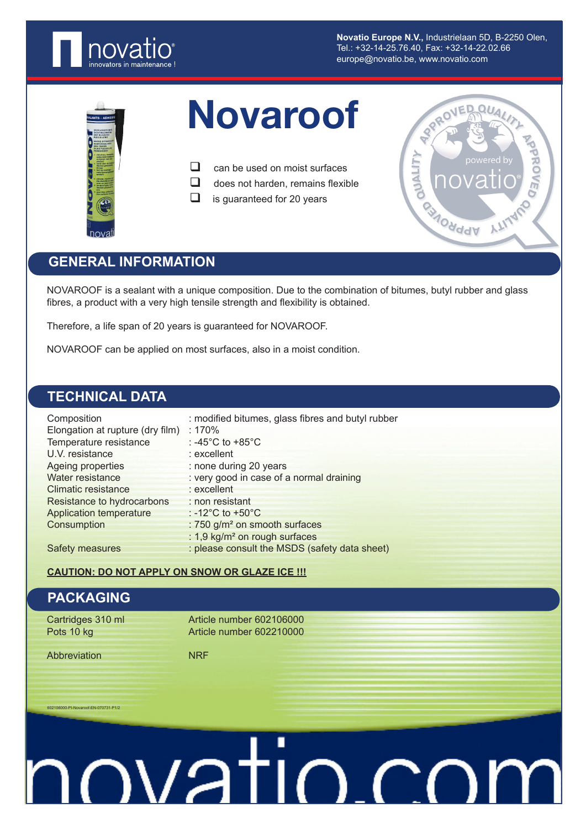

**Novatio Europe N.V.,** Industrielaan 5D, B-2250 Olen, Tel.: +32-14-25.76.40, Fax: +32-14-22.02.66 europe@novatio.be, www.novatio.com



# Novaroof

 $\Box$  can be used on moist surfaces

 $\Box$  does not harden, remains flexible

 $\Box$  is guaranteed for 20 years



## **GENERAL INFORMATION**

NOVAROOF is a sealant with a unique composition. Due to the combination of bitumes, butyl rubber and glass fibres, a product with a very high tensile strength and flexibility is obtained.

Therefore, a life span of 20 years is guaranteed for NOVAROOF.

NOVAROOF can be applied on most surfaces, also in a moist condition.

# **TECHNICAL DATA**

| Composition                      | : modified bitumes, glass fibres and butyl rubber |
|----------------------------------|---------------------------------------------------|
| Elongation at rupture (dry film) | :170%                                             |
| Temperature resistance           | : -45 $^{\circ}$ C to +85 $^{\circ}$ C            |
| U.V. resistance                  | : excellent                                       |
| Ageing properties                | : none during 20 years                            |
| Water resistance                 | : very good in case of a normal draining          |
| Climatic resistance              | : excellent                                       |
| Resistance to hydrocarbons       | : non resistant                                   |
| <b>Application temperature</b>   | : $-12^{\circ}$ C to $+50^{\circ}$ C              |
| Consumption                      | : 750 g/m <sup>2</sup> on smooth surfaces         |
|                                  | : 1,9 kg/m <sup>2</sup> on rough surfaces         |
| <b>Safety measures</b>           | : please consult the MSDS (safety data sheet)     |

### **CAUTION: DO NOT APPLY ON SNOW OR GLAZE ICE !!!**

## **PACKAGING**

0<br>1-PI-Novaroof-EN-070731-P

Cartridges 310 ml Article number 602106000<br>Pots 10 kg<br>Article number 602210000 Article number 602210000

Abbreviation NRF

# <u>mustio.com</u>